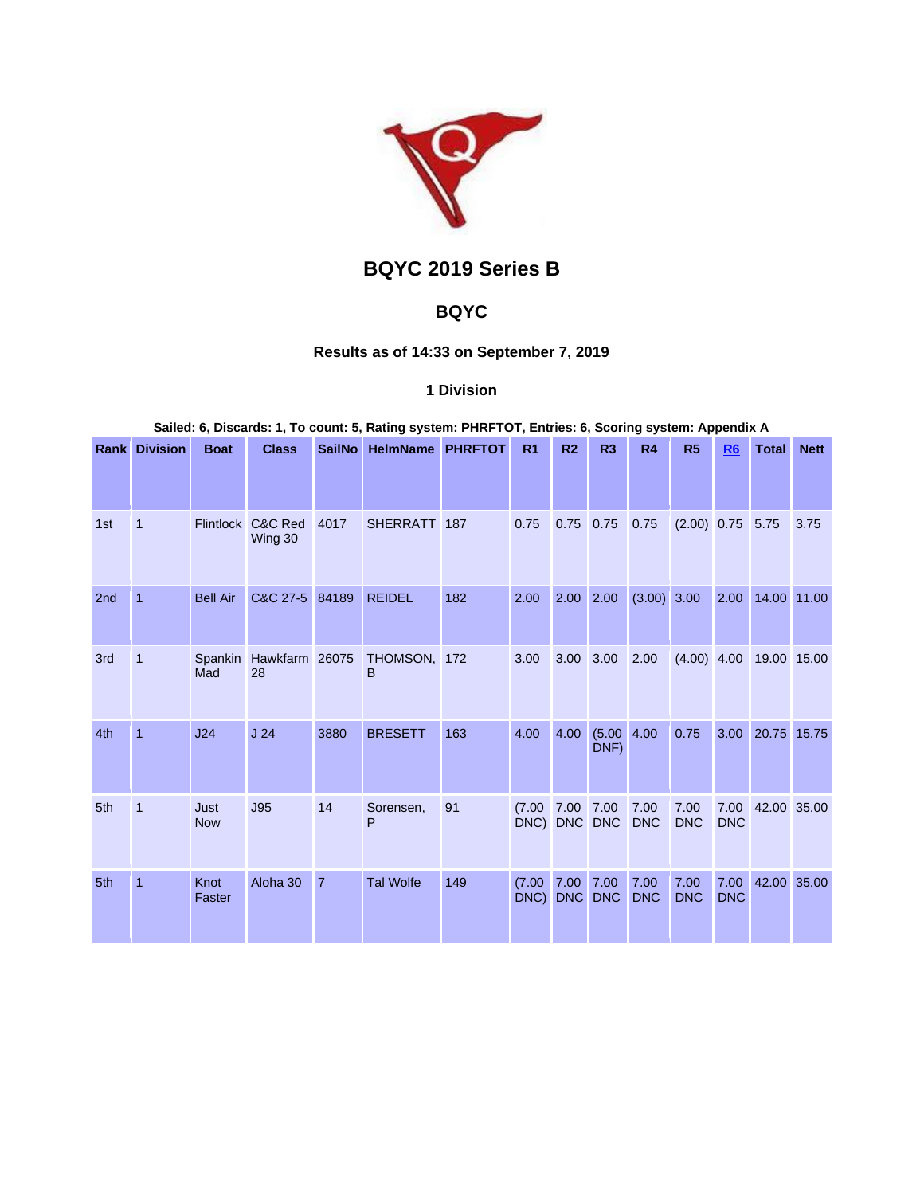

# **BQYC 2019 Series B**

# **BQYC**

## **Results as of 14:33 on September 7, 2019**

## **1 Division**

#### **Sailed: 6, Discards: 1, To count: 5, Rating system: PHRFTOT, Entries: 6, Scoring system: Appendix A**

|     | <b>Rank Division</b> | <b>Boat</b>        | <b>Class</b>         | <b>SailNo</b>  | <b>HelmName</b>   | <b>PHRFTOT</b> | R <sub>1</sub> | R <sub>2</sub>     | R <sub>3</sub>     | R <sub>4</sub>     | R <sub>5</sub>     | R <sub>6</sub>     | <b>Total</b> | <b>Nett</b> |
|-----|----------------------|--------------------|----------------------|----------------|-------------------|----------------|----------------|--------------------|--------------------|--------------------|--------------------|--------------------|--------------|-------------|
|     |                      |                    |                      |                |                   |                |                |                    |                    |                    |                    |                    |              |             |
| 1st | $\mathbf{1}$         | <b>Flintlock</b>   | C&C Red<br>Wing 30   | 4017           | <b>SHERRATT</b>   | 187            | 0.75           | 0.75               | 0.75               | 0.75               | $(2.00)$ 0.75      |                    | 5.75         | 3.75        |
| 2nd | 1                    | <b>Bell Air</b>    | C&C 27-5             | 84189          | <b>REIDEL</b>     | 182            | 2.00           | 2.00               | 2.00               | $(3.00)$ 3.00      |                    | 2.00               | 14.00 11.00  |             |
| 3rd | $\mathbf{1}$         | Spankin<br>Mad     | Hawkfarm 26075<br>28 |                | THOMSON, 172<br>B |                | 3.00           | 3.00               | 3.00               | 2.00               | $(4.00)$ 4.00      |                    | 19.00 15.00  |             |
| 4th | $\mathbf{1}$         | J24                | J <sub>24</sub>      | 3880           | <b>BRESETT</b>    | 163            | 4.00           | 4.00               | (5.00)<br>DNF)     | 4.00               | 0.75               | 3.00               | 20.75 15.75  |             |
| 5th | $\mathbf{1}$         | Just<br><b>Now</b> | J95                  | 14             | Sorensen,<br>P    | 91             | (7.00)<br>DNC) | 7.00<br>DNC DNC    | 7.00               | 7.00<br><b>DNC</b> | 7.00<br><b>DNC</b> | 7.00<br><b>DNC</b> | 42.00        | 35.00       |
| 5th | $\mathbf{1}$         | Knot<br>Faster     | Aloha 30             | $\overline{7}$ | <b>Tal Wolfe</b>  | 149            | (7.00)<br>DNC) | 7.00<br><b>DNC</b> | 7.00<br><b>DNC</b> | 7.00<br><b>DNC</b> | 7.00<br><b>DNC</b> | 7.00<br><b>DNC</b> | 42.00 35.00  |             |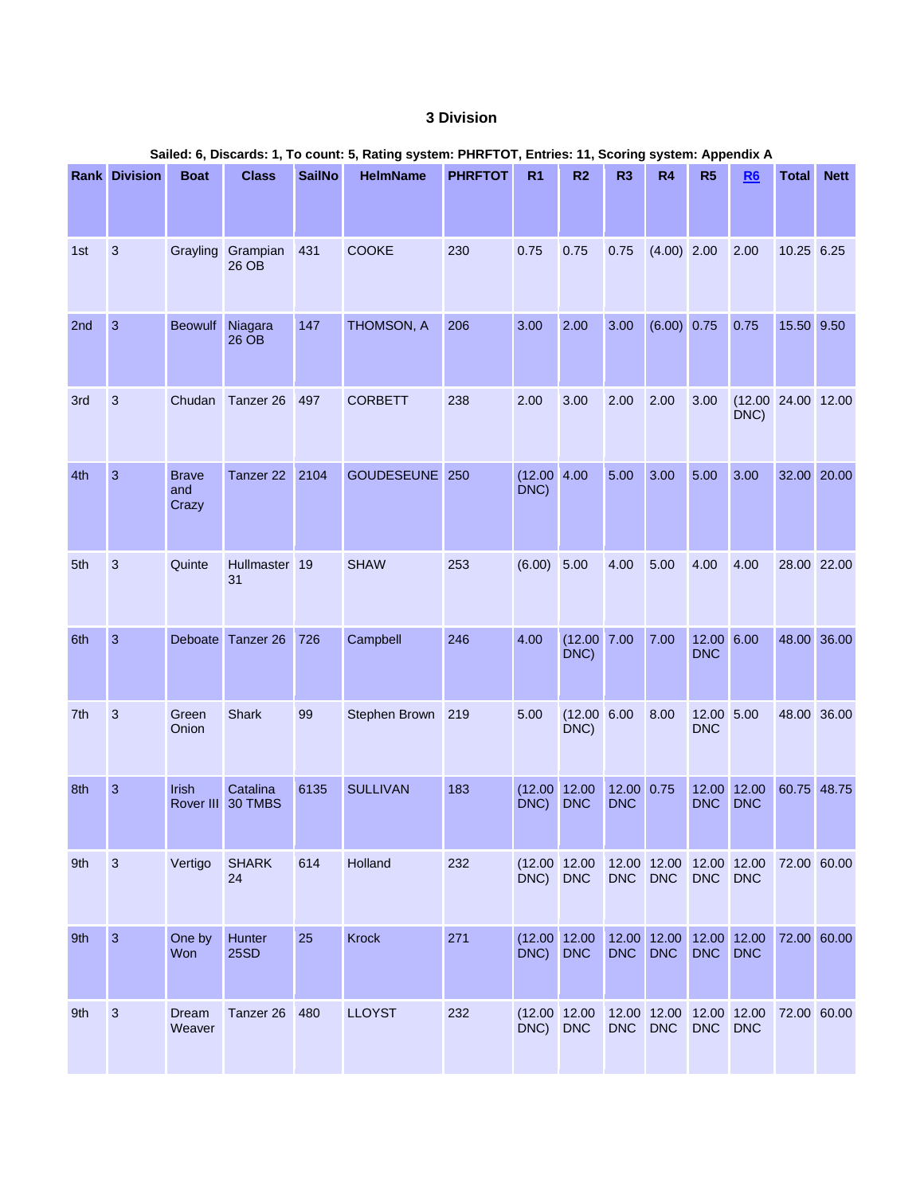## **3 Division**

|     |                      |                              |                               |               |                 |                | Sailed: 6, Discards: 1, To count: 5, Rating system: PHRFTOT, Entries: 11, Scoring system: Appendix A |                         |                          |                                       |                          |                            |              |             |
|-----|----------------------|------------------------------|-------------------------------|---------------|-----------------|----------------|------------------------------------------------------------------------------------------------------|-------------------------|--------------------------|---------------------------------------|--------------------------|----------------------------|--------------|-------------|
|     | <b>Rank Division</b> | <b>Boat</b>                  | <b>Class</b>                  | <b>SailNo</b> | <b>HelmName</b> | <b>PHRFTOT</b> | R <sub>1</sub>                                                                                       | R2                      | R <sub>3</sub>           | R4                                    | R5                       | R6                         | <b>Total</b> | <b>Nett</b> |
| 1st | 3                    |                              | Grayling Grampian<br>26 OB    | 431           | <b>COOKE</b>    | 230            | 0.75                                                                                                 | 0.75                    | 0.75                     | $(4.00)$ 2.00                         |                          | 2.00                       | 10.25 6.25   |             |
| 2nd | $\mathbf{3}$         | <b>Beowulf</b>               | Niagara<br>26 OB              | 147           | THOMSON, A      | 206            | 3.00                                                                                                 | 2.00                    | 3.00                     | (6.00) 0.75                           |                          | 0.75                       | 15.50 9.50   |             |
| 3rd | 3                    | Chudan                       | Tanzer 26                     | 497           | <b>CORBETT</b>  | 238            | 2.00                                                                                                 | 3.00                    | 2.00                     | 2.00                                  | 3.00                     | (12.00 24.00 12.00<br>DNC) |              |             |
| 4th | $\mathbf{3}$         | <b>Brave</b><br>and<br>Crazy | Tanzer 22 2104                |               | GOUDESEUNE 250  |                | $(12.00 \ 4.00$<br>DNC)                                                                              |                         | 5.00                     | 3.00                                  | 5.00                     | 3.00                       | 32.00 20.00  |             |
| 5th | 3                    | Quinte                       | Hullmaster 19<br>31           |               | <b>SHAW</b>     | 253            | (6.00)                                                                                               | 5.00                    | 4.00                     | 5.00                                  | 4.00                     | 4.00                       | 28.00 22.00  |             |
| 6th | $\overline{3}$       |                              | Deboate Tanzer 26             | 726           | Campbell        | 246            | 4.00                                                                                                 | $(12.00 \ 7.00$<br>DNC) |                          | 7.00                                  | 12.00 6.00<br><b>DNC</b> |                            | 48.00 36.00  |             |
| 7th | 3                    | Green<br>Onion               | <b>Shark</b>                  | 99            | Stephen Brown   | 219            | 5.00                                                                                                 | $(12.00 \ 6.00$<br>DNC) |                          | 8.00                                  | 12.00 5.00<br><b>DNC</b> |                            | 48.00 36.00  |             |
| 8th | $\overline{3}$       | Irish                        | Catalina<br>Rover III 30 TMBS | 6135          | <b>SULLIVAN</b> | 183            | (12.00)<br>DNC)                                                                                      | 12.00<br><b>DNC</b>     | 12.00 0.75<br><b>DNC</b> |                                       | 12.00<br><b>DNC</b>      | 12.00<br><b>DNC</b>        |              | 60.75 48.75 |
| 9th | 3                    | Vertigo                      | <b>SHARK</b><br>24            | 614           | Holland         | 232            | $(12.00 \ 12.00$<br>DNC)                                                                             | <b>DNC</b>              | <b>DNC</b>               | 12.00 12.00 12.00 12.00<br><b>DNC</b> | <b>DNC</b>               | <b>DNC</b>                 | 72.00 60.00  |             |
| 9th | $\overline{3}$       | One by<br>Won                | Hunter<br><b>25SD</b>         | 25            | Krock           | 271            | (12.00 12.00<br>DNC)                                                                                 | <b>DNC</b>              | <b>DNC</b>               | 12.00 12.00 12.00 12.00<br><b>DNC</b> | <b>DNC</b>               | <b>DNC</b>                 | 72.00 60.00  |             |
| 9th | $\mathbf{3}$         | Dream<br>Weaver              | Tanzer 26                     | 480           | <b>LLOYST</b>   | 232            | (12.00 12.00<br>DNC)                                                                                 | <b>DNC</b>              | <b>DNC</b>               | 12.00 12.00 12.00 12.00<br><b>DNC</b> | <b>DNC</b>               | <b>DNC</b>                 | 72.00 60.00  |             |

# **Sailed: 6, Discards: 1, To count: 5, Rating system: PHRFTOT, Entries: 11, Scoring system: Appendix A**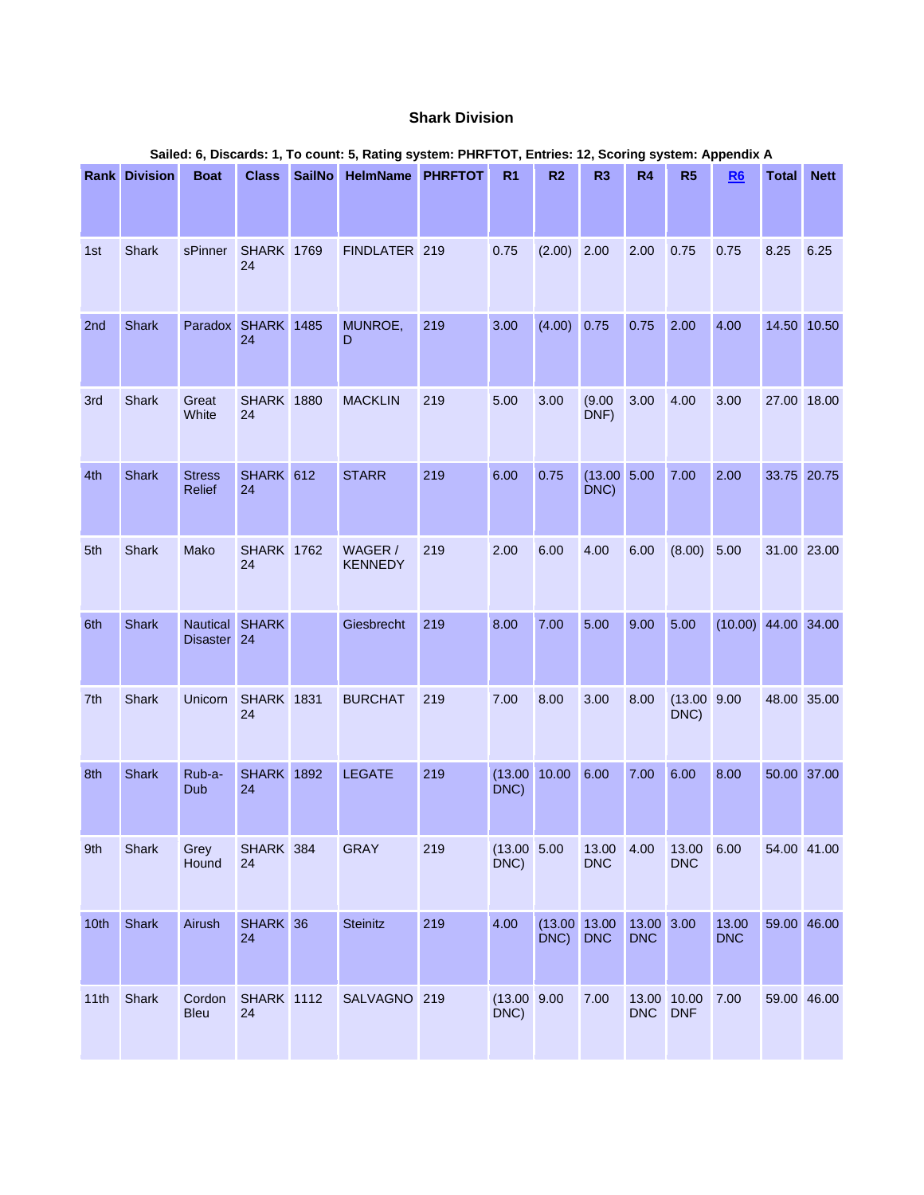### **Shark Division**

|      |                      |                                |                         |               | Salied: 6, Discards: 1, To count: 5, Rating system: PHRFTOT, Entries: 12, Scoring system: Appendix A |     |                      |                         |                      |                          |                      |                       |              |             |
|------|----------------------|--------------------------------|-------------------------|---------------|------------------------------------------------------------------------------------------------------|-----|----------------------|-------------------------|----------------------|--------------------------|----------------------|-----------------------|--------------|-------------|
|      | <b>Rank Division</b> | <b>Boat</b>                    | <b>Class</b>            | <b>SailNo</b> | <b>HelmName PHRFTOT</b>                                                                              |     | R <sub>1</sub>       | R2                      | R3                   | R4                       | R5                   | R6                    | <b>Total</b> | <b>Nett</b> |
| 1st  | <b>Shark</b>         | sPinner                        | <b>SHARK 1769</b><br>24 |               | FINDLATER 219                                                                                        |     | 0.75                 | (2.00)                  | 2.00                 | 2.00                     | 0.75                 | 0.75                  | 8.25         | 6.25        |
| 2nd  | <b>Shark</b>         | Paradox SHARK 1485             | 24                      |               | MUNROE,<br>D                                                                                         | 219 | 3.00                 | $(4.00)$ 0.75           |                      | 0.75                     | 2.00                 | 4.00                  |              | 14.50 10.50 |
| 3rd  | Shark                | Great<br>White                 | <b>SHARK 1880</b><br>24 |               | <b>MACKLIN</b>                                                                                       | 219 | 5.00                 | 3.00                    | (9.00)<br>DNF)       | 3.00                     | 4.00                 | 3.00                  |              | 27.00 18.00 |
| 4th  | <b>Shark</b>         | <b>Stress</b><br><b>Relief</b> | SHARK 612<br>24         |               | <b>STARR</b>                                                                                         | 219 | 6.00                 | 0.75                    | (13.00 5.00)<br>DNC) |                          | 7.00                 | 2.00                  |              | 33.75 20.75 |
| 5th  | Shark                | Mako                           | <b>SHARK 1762</b><br>24 |               | WAGER /<br><b>KENNEDY</b>                                                                            | 219 | 2.00                 | 6.00                    | 4.00                 | 6.00                     | $(8.00)$ 5.00        |                       | 31.00 23.00  |             |
| 6th  | <b>Shark</b>         | Nautical<br>Disaster 24        | <b>SHARK</b>            |               | Giesbrecht                                                                                           | 219 | 8.00                 | 7.00                    | 5.00                 | 9.00                     | 5.00                 | $(10.00)$ 44.00 34.00 |              |             |
| 7th  | Shark                | Unicorn                        | <b>SHARK 1831</b><br>24 |               | <b>BURCHAT</b>                                                                                       | 219 | 7.00                 | 8.00                    | 3.00                 | 8.00                     | (13.00 9.00)<br>DNC) |                       | 48.00 35.00  |             |
| 8th  | Shark                | Rub-a-<br>Dub                  | <b>SHARK</b> 1892<br>24 |               | <b>LEGATE</b>                                                                                        | 219 | DNC)                 | $(13.00 \ 10.00 \ 6.00$ |                      | 7.00                     | 6.00                 | 8.00                  | 50.00 37.00  |             |
| 9th  | Shark                | Grey<br>Hound                  | SHARK 384<br>24         |               | <b>GRAY</b>                                                                                          | 219 | (13.00 5.00)<br>DNC) |                         | 13.00<br><b>DNC</b>  | 4.00                     | 13.00<br><b>DNC</b>  | 6.00                  |              | 54.00 41.00 |
| 10th | Shark                | Airush                         | SHARK 36<br>24          |               | Steinitz                                                                                             | 219 | 4.00                 | (13.00 13.00)<br>DNC)   | <b>DNC</b>           | 13.00 3.00<br><b>DNC</b> |                      | 13.00<br><b>DNC</b>   |              | 59.00 46.00 |
| 11th | Shark                | Cordon<br><b>Bleu</b>          | <b>SHARK</b> 1112<br>24 |               | SALVAGNO 219                                                                                         |     | (13.00 9.00)<br>DNC) |                         | 7.00                 | DNC DNF                  | 13.00 10.00          | 7.00                  | 59.00 46.00  |             |

# **Sailed: 6, Discards: 1, To count: 5, Rating system: PHRFTOT, Entries: 12, Scoring system: Appendix A**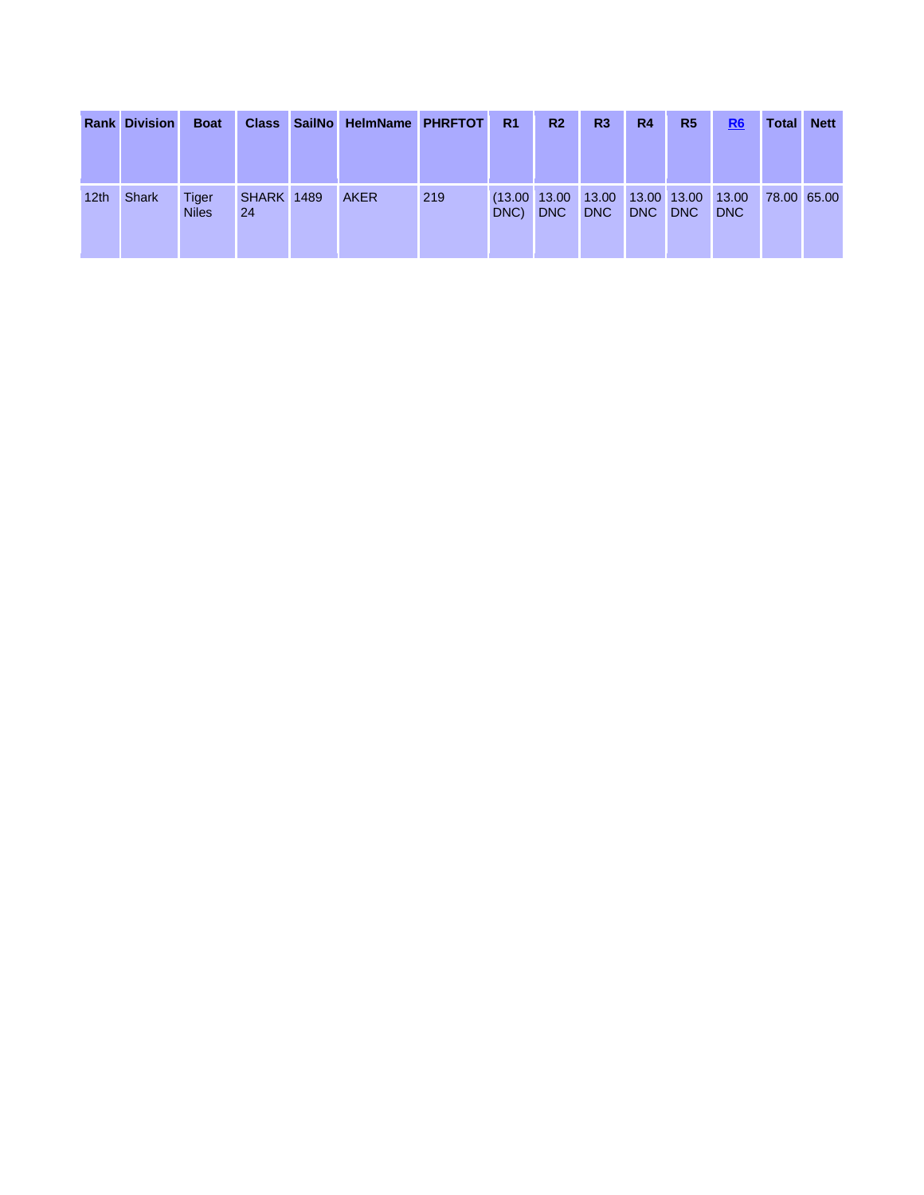|                  | <b>Rank Division</b> | <b>Boat</b>           | <b>Class</b>            | <b>SailNo</b> | HelmName PHRFTOT |     | R <sub>1</sub>           | R <sub>2</sub> | R <sub>3</sub>      | R <sub>4</sub>            | R <sub>5</sub> | $\underline{R6}$    | <b>Total</b> | <b>Nett</b> |
|------------------|----------------------|-----------------------|-------------------------|---------------|------------------|-----|--------------------------|----------------|---------------------|---------------------------|----------------|---------------------|--------------|-------------|
| 12 <sub>th</sub> | <b>Shark</b>         | Tiger<br><b>Niles</b> | <b>SHARK 1489</b><br>24 |               | <b>AKER</b>      | 219 | $(13.00 \ 13.00$<br>DNC) | <b>DNC</b>     | 13.00<br><b>DNC</b> | 13.00 13.00<br><b>DNC</b> | <b>DNC</b>     | 13.00<br><b>DNC</b> | 78.00 65.00  |             |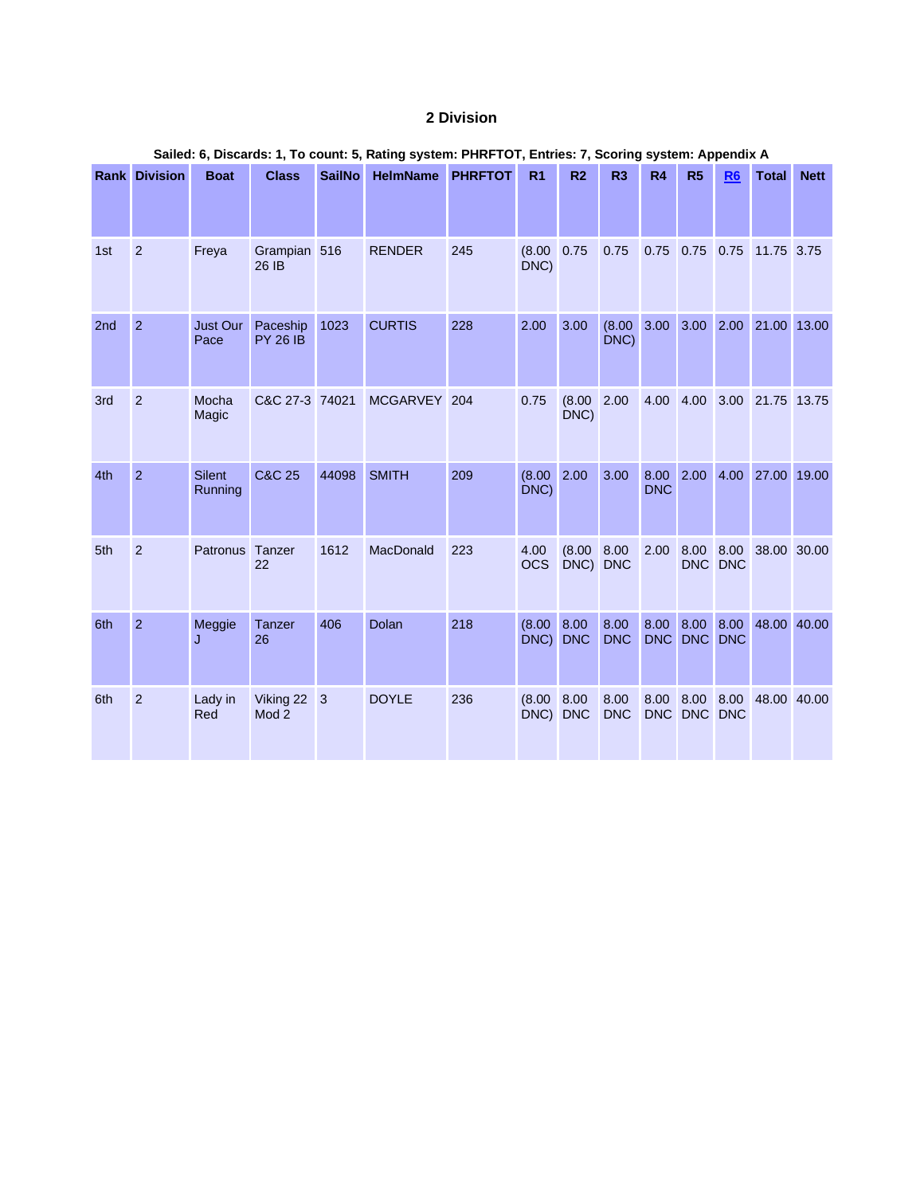#### **2 Division**

|     |                      |                          |                               |               |                         |     | $\alpha$ of $\alpha$ , $\beta$ , $\beta$ , $\alpha$ , $\beta$ , $\beta$ , $\alpha$ , $\beta$ , $\alpha$ , $\beta$ , $\beta$ , $\beta$ , $\beta$ , $\beta$ , $\beta$ , $\beta$ , $\beta$ , $\beta$ , $\beta$ , $\beta$ , $\beta$ , $\beta$ , $\beta$ , $\beta$ , $\beta$ , $\beta$ , $\beta$ , $\beta$ , $\beta$ , $\beta$ , $\alpha$ , $\beta$ , $\beta$ , $\alpha$ , $\beta$ , $\beta$ |                         |                        |                    |                      | Ocornig system. Appendix A |                       |             |  |  |
|-----|----------------------|--------------------------|-------------------------------|---------------|-------------------------|-----|-----------------------------------------------------------------------------------------------------------------------------------------------------------------------------------------------------------------------------------------------------------------------------------------------------------------------------------------------------------------------------------------|-------------------------|------------------------|--------------------|----------------------|----------------------------|-----------------------|-------------|--|--|
|     | <b>Rank Division</b> | <b>Boat</b>              | <b>Class</b>                  | <b>SailNo</b> | <b>HelmName PHRFTOT</b> |     | R <sub>1</sub>                                                                                                                                                                                                                                                                                                                                                                          | R <sub>2</sub>          | R <sub>3</sub>         | R4                 | R <sub>5</sub>       | R <sub>6</sub>             | <b>Total</b>          | <b>Nett</b> |  |  |
| 1st | 2                    | Freya                    | Grampian 516<br>26 IB         |               | <b>RENDER</b>           | 245 | (8.00 0.75)<br>DNC)                                                                                                                                                                                                                                                                                                                                                                     |                         | 0.75                   |                    | 0.75 0.75 0.75       |                            | 11.75 3.75            |             |  |  |
| 2nd | $\overline{2}$       | Just Our<br>Pace         | Paceship<br><b>PY 26 IB</b>   | 1023          | <b>CURTIS</b>           | 228 | 2.00                                                                                                                                                                                                                                                                                                                                                                                    | 3.00                    | $(8.00 \ 3.00$<br>DNC) |                    | 3.00 2.00            |                            | 21.00 13.00           |             |  |  |
| 3rd | $\overline{2}$       | Mocha<br>Magic           | C&C 27-3 74021                |               | <b>MCGARVEY</b>         | 204 | 0.75                                                                                                                                                                                                                                                                                                                                                                                    | (8.00 2.00<br>DNC)      |                        | 4.00               | 4.00                 | 3.00                       | 21.75 13.75           |             |  |  |
| 4th | $\overline{2}$       | <b>Silent</b><br>Running | C&C 25                        | 44098         | <b>SMITH</b>            | 209 | $(8.00 \ 2.00$<br>DNC)                                                                                                                                                                                                                                                                                                                                                                  |                         | 3.00                   | 8.00<br><b>DNC</b> |                      |                            | 2.00 4.00 27.00 19.00 |             |  |  |
| 5th | $\overline{2}$       | Patronus Tanzer          | 22                            | 1612          | MacDonald               | 223 | 4.00<br><b>OCS</b>                                                                                                                                                                                                                                                                                                                                                                      | (8.00 8.00)<br>DNC) DNC |                        | 2.00               | 8.00 8.00            | DNC DNC                    | 38.00 30.00           |             |  |  |
| 6th | 2                    | Meggie<br>J              | Tanzer<br>26                  | 406           | Dolan                   | 218 | $(8.00 \ 8.00)$<br>DNC)                                                                                                                                                                                                                                                                                                                                                                 | <b>DNC</b>              | 8.00<br><b>DNC</b>     | 8.00<br><b>DNC</b> | 8.00 8.00<br>DNC DNC |                            | 48.00 40.00           |             |  |  |
| 6th | $\overline{2}$       | Lady in<br>Red           | Viking 22<br>Mod <sub>2</sub> | 3             | <b>DOYLE</b>            | 236 | $(8.00 \ 8.00)$<br>DNC) DNC                                                                                                                                                                                                                                                                                                                                                             |                         | 8.00<br><b>DNC</b>     | 8.00               | DNC DNC DNC          |                            | 8.00 8.00 48.00 40.00 |             |  |  |

#### **Sailed: 6, Discards: 1, To count: 5, Rating system: PHRFTOT, Entries: 7, Scoring system: Appendix A**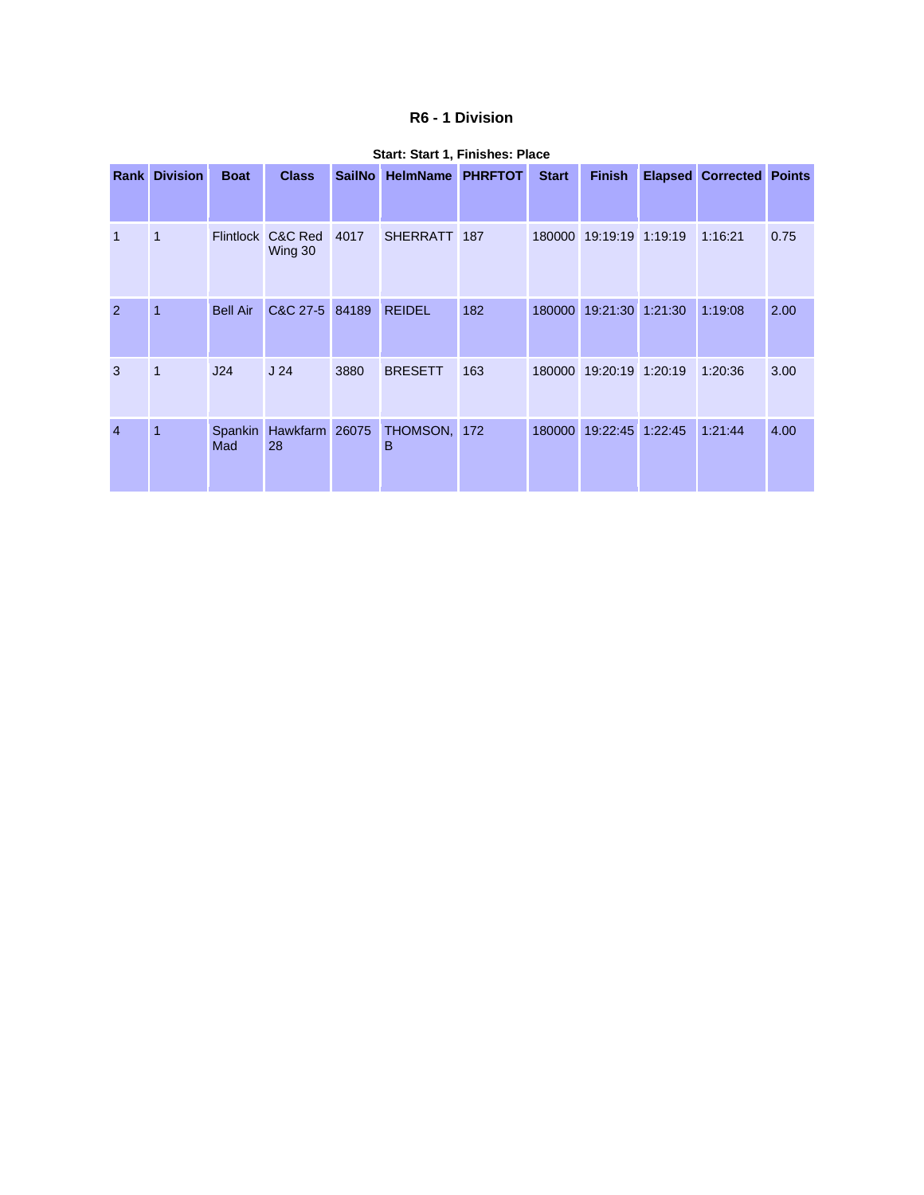#### **R6 - 1 Division**

|                | <b>Rank Division</b> | <b>Boat</b>      | <b>Class</b>         | <b>SailNo</b> | <b>HelmName</b> | <b>PHRFTOT</b> | <b>Start</b> | <b>Finish</b>    |         | <b>Elapsed Corrected Points</b> |      |
|----------------|----------------------|------------------|----------------------|---------------|-----------------|----------------|--------------|------------------|---------|---------------------------------|------|
| $\overline{1}$ | 1                    | <b>Flintlock</b> | C&C Red<br>Wing 30   | 4017          | SHERRATT 187    |                | 180000       | 19:19:19 1:19:19 |         | 1:16:21                         | 0.75 |
| $\overline{2}$ | 1                    | <b>Bell Air</b>  | C&C 27-5 84189       |               | <b>REIDEL</b>   | 182            | 180000       | 19:21:30         | 1:21:30 | 1:19:08                         | 2.00 |
| 3              | 1                    | J24              | J <sub>24</sub>      | 3880          | <b>BRESETT</b>  | 163            | 180000       | 19:20:19 1:20:19 |         | 1:20:36                         | 3.00 |
| $\overline{4}$ | $\overline{1}$       | Spankin<br>Mad   | Hawkfarm 26075<br>28 |               | THOMSON,<br>B   | 172            | 180000       | 19:22:45 1:22:45 |         | 1:21:44                         | 4.00 |

#### **Start: Start 1, Finishes: Place**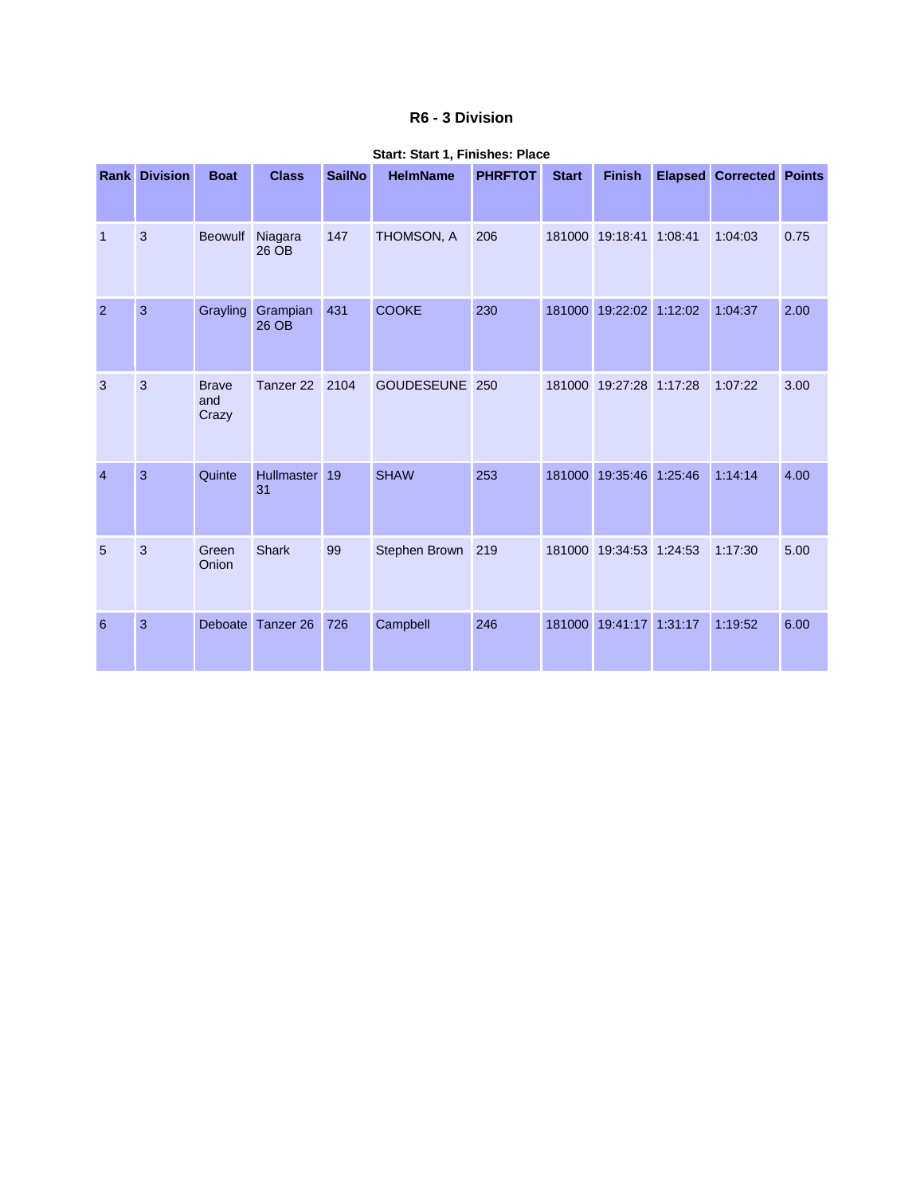#### **R6 - 3 Division**

|                | <b>Rank Division</b> | <b>Boat</b>                  | <b>Class</b>            | <b>SailNo</b> | <b>HelmName</b>   | <b>PHRFTOT</b> | <b>Start</b> | <b>Finish</b>           | <b>Elapsed</b> | <b>Corrected Points</b> |      |
|----------------|----------------------|------------------------------|-------------------------|---------------|-------------------|----------------|--------------|-------------------------|----------------|-------------------------|------|
| $\overline{1}$ | 3                    | <b>Beowulf</b>               | Niagara<br>26 OB        | 147           | THOMSON, A        | 206            | 181000       | 19:18:41                | 1:08:41        | 1:04:03                 | 0.75 |
| 2              | $\overline{3}$       | Grayling                     | Grampian<br>26 OB       | 431           | <b>COOKE</b>      | 230            |              | 181000 19:22:02 1:12:02 |                | 1:04:37                 | 2.00 |
| 3              | 3                    | <b>Brave</b><br>and<br>Crazy | Tanzer 22               | 2104          | <b>GOUDESEUNE</b> | 250            | 181000       | 19:27:28 1:17:28        |                | 1:07:22                 | 3.00 |
| $\overline{4}$ | 3                    | Quinte                       | <b>Hullmaster</b><br>31 | 19            | <b>SHAW</b>       | 253            | 181000       | 19:35:46                | 1:25:46        | 1:14:14                 | 4.00 |
| 5              | $\mathbf{3}$         | Green<br>Onion               | <b>Shark</b>            | 99            | Stephen Brown     | 219            | 181000       | 19:34:53 1:24:53        |                | 1:17:30                 | 5.00 |
| 6              | 3                    | Deboate                      | Tanzer <sub>26</sub>    | 726           | Campbell          | 246            | 181000       | 19:41:17 1:31:17        |                | 1:19:52                 | 6.00 |

#### **Start: Start 1, Finishes: Place**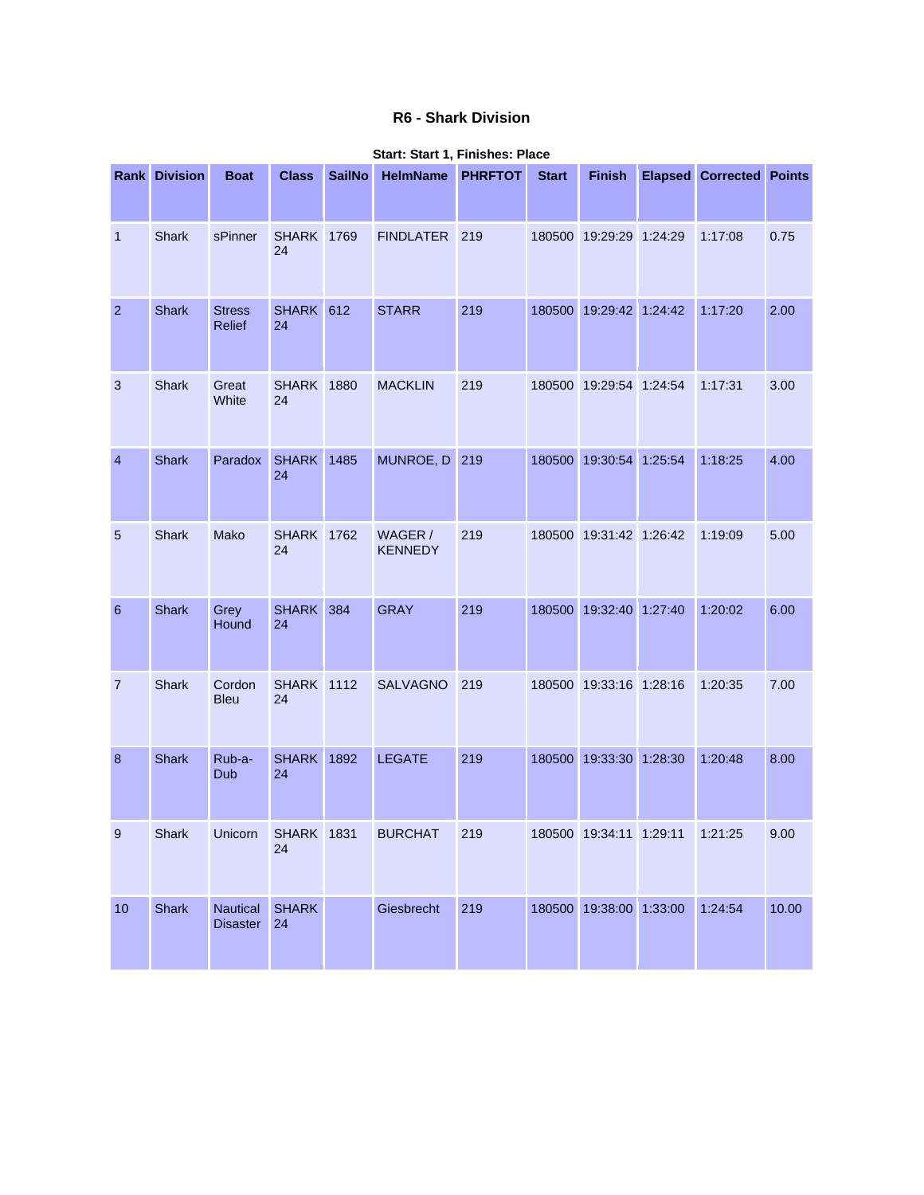#### **R6 - Shark Division**

|                 | <b>Rank Division</b> | <b>Boat</b>                        | <b>Class</b>            | <b>SailNo</b> | <b>HelmName</b>           | <b>PHRFTOT</b> | <b>Start</b> | <b>Finish</b>             | <b>Elapsed Corrected Points</b> |       |
|-----------------|----------------------|------------------------------------|-------------------------|---------------|---------------------------|----------------|--------------|---------------------------|---------------------------------|-------|
| $\overline{1}$  | <b>Shark</b>         | sPinner                            | <b>SHARK 1769</b><br>24 |               | <b>FINDLATER</b>          | 219            |              | 180500 19:29:29 1:24:29   | 1:17:08                         | 0.75  |
| $\overline{2}$  | <b>Shark</b>         | <b>Stress</b><br><b>Relief</b>     | SHARK 612<br>24         |               | <b>STARR</b>              | 219            |              | 180500 19:29:42 1:24:42   | 1:17:20                         | 2.00  |
| $\mathbf{3}$    | Shark                | Great<br>White                     | <b>SHARK 1880</b><br>24 |               | <b>MACKLIN</b>            | 219            |              | 180500 19:29:54 1:24:54   | 1:17:31                         | 3.00  |
| $\overline{4}$  | <b>Shark</b>         | Paradox                            | <b>SHARK</b> 1485<br>24 |               | MUNROE, D 219             |                |              | 180500 19:30:54 1:25:54   | 1:18:25                         | 4.00  |
| $\overline{5}$  | Shark                | Mako                               | <b>SHARK 1762</b><br>24 |               | WAGER /<br><b>KENNEDY</b> | 219            |              | 180500 19:31:42 1:26:42   | 1:19:09                         | 5.00  |
| $6\phantom{1}6$ | Shark                | Grey<br>Hound                      | SHARK 384<br>24         |               | <b>GRAY</b>               | 219            |              | 180500 19:32:40 1:27:40   | 1:20:02                         | 6.00  |
| $\overline{7}$  | Shark                | Cordon<br><b>Bleu</b>              | <b>SHARK 1112</b><br>24 |               | <b>SALVAGNO</b>           | 219            |              | 180500 19:33:16 1:28:16   | 1:20:35                         | 7.00  |
| 8               | <b>Shark</b>         | Rub-a-<br>Dub                      | <b>SHARK</b> 1892<br>24 |               | <b>LEGATE</b>             | 219            |              | 180500 19:33:30 1:28:30   | 1:20:48                         | 8.00  |
| 9               | <b>Shark</b>         | Unicorn                            | <b>SHARK</b> 1831<br>24 |               | <b>BURCHAT</b>            | 219            |              | 180500  19:34:11  1:29:11 | 1:21:25                         | 9.00  |
| 10              | <b>Shark</b>         | <b>Nautical</b><br><b>Disaster</b> | <b>SHARK</b><br>24      |               | Giesbrecht                | 219            |              | 180500 19:38:00 1:33:00   | 1:24:54                         | 10.00 |

#### **Start: Start 1, Finishes: Place**